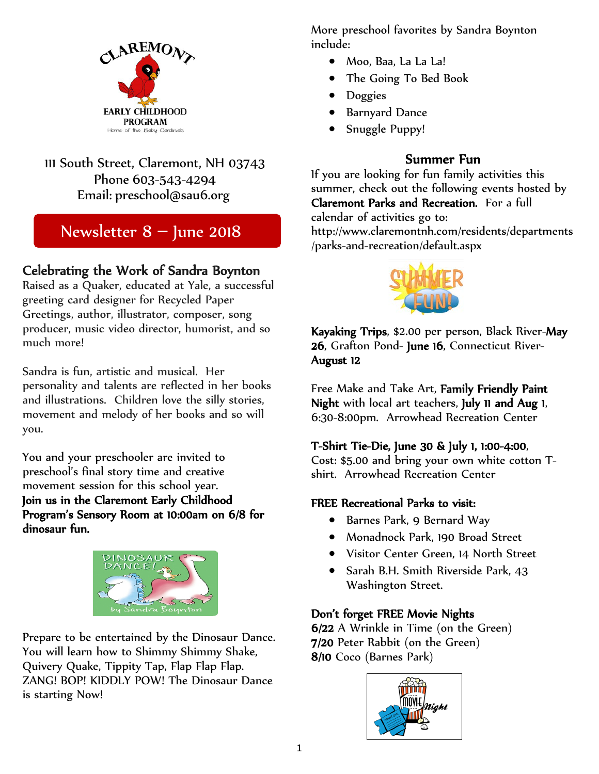

### 111 South Street, Claremont, NH 03743 Phone 603-543-4294 Email: [preschool@sau6.org](mailto:preschool@sau6.org)

## Newsletter 8 – June 2018

# Celebrating the Work of Sandra Boynton Raised as a Quaker, educated at Yale, a successful

greeting card designer for Recycled Paper Greetings, author, illustrator, composer, song producer, music video director, humorist, and so much more!

Sandra is fun, artistic and musical. Her personality and talents are reflected in her books and illustrations. Children love the silly stories, movement and melody of her books and so will you.

You and your preschooler are invited to preschool's final story time and creative movement session for this school year. Join us in the Claremont Early Childhood Program's Sensory Room at 10:00am on 6/8 for dinosaur fun.



Prepare to be entertained by the Dinosaur Dance. You will learn how to Shimmy Shimmy Shake, Quivery Quake, Tippity Tap, Flap Flap Flap. ZANG! BOP! KIDDLY POW! The Dinosaur Dance is starting Now!

More preschool favorites by Sandra Boynton include:

- Moo, Baa, La La La!
- The Going To Bed Book
- Doggies
- Barnyard Dance
- Snuggle Puppy!

**Summer Fun**<br>If you are looking for fun family activities this summer, check out the following events hosted by Claremont Parks and Recreation. For a full calendar of activities go to:

http://www.claremontnh.com/residents/departments /parks-and-recreation/default.aspx



Kayaking Trips, \$2.00 per person, Black River-May 26, Grafton Pond- June 16, Connecticut River-August 12

Free Make and Take Art, Family Friendly Paint Night with local art teachers, July 11 and Aug 1, 6:30-8:00pm. Arrowhead Recreation Center

### T-Shirt Tie-Die, June 30 & July 1, 1:00-4:00,

Cost: \$5.00 and bring your own white cotton Tshirt. Arrowhead Recreation Center

### FREE Recreational Parks to visit:

- Barnes Park, 9 Bernard Way
- Monadnock Park, 190 Broad Street
- Visitor Center Green, 14 North Street
- Sarah B.H. Smith Riverside Park, 43 Washington Street.

### Don't forget FREE Movie Nights

6/22 A Wrinkle in Time (on the Green) 7/20 Peter Rabbit (on the Green) 8/10 Coco (Barnes Park)